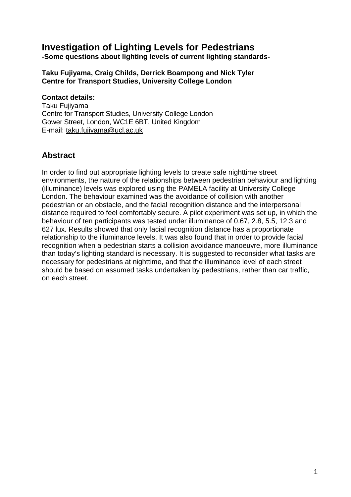# **Investigation of Lighting Levels for Pedestrians**

**-Some questions about lighting levels of current lighting standards-**

#### **Taku Fujiyama, Craig Childs, Derrick Boampong and Nick Tyler Centre for Transport Studies, University College London**

#### **Contact details:**

Taku Fujiyama Centre for Transport Studies, University College London Gower Street, London, WC1E 6BT, United Kingdom E-mail: taku.fujiyama@ucl.ac.uk

# **Abstract**

In order to find out appropriate lighting levels to create safe nighttime street environments, the nature of the relationships between pedestrian behaviour and lighting (illuminance) levels was explored using the PAMELA facility at University College London. The behaviour examined was the avoidance of collision with another pedestrian or an obstacle, and the facial recognition distance and the interpersonal distance required to feel comfortably secure. A pilot experiment was set up, in which the behaviour of ten participants was tested under illuminance of 0.67, 2.8, 5.5, 12.3 and 627 lux. Results showed that only facial recognition distance has a proportionate relationship to the illuminance levels. It was also found that in order to provide facial recognition when a pedestrian starts a collision avoidance manoeuvre, more illuminance than today's lighting standard is necessary. It is suggested to reconsider what tasks are necessary for pedestrians at nighttime, and that the illuminance level of each street should be based on assumed tasks undertaken by pedestrians, rather than car traffic, on each street.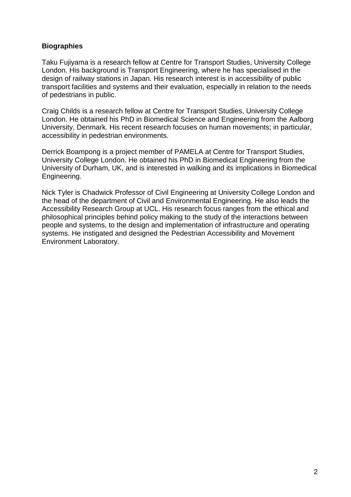#### **Biographies**

Taku Fujiyama is a research fellow at Centre for Transport Studies, University College London. His background is Transport Engineering, where he has specialised in the design of railway stations in Japan. His research interest is in accessibility of public transport facilities and systems and their evaluation, especially in relation to the needs of pedestrians in public.

Craig Childs is a research fellow at Centre for Transport Studies, University College London. He obtained his PhD in Biomedical Science and Engineering from the Aalborg University, Denmark. His recent research focuses on human movements; in particular, accessibility in pedestrian environments.

Derrick Boampong is a project member of PAMELA at Centre for Transport Studies, University College London. He obtained his PhD in Biomedical Engineering from the University of Durham, UK, and is interested in walking and its implications in Biomedical Engineering.

Nick Tyler is Chadwick Professor of Civil Engineering at University College London and the head of the department of Civil and Environmental Engineering. He also leads the Accessibility Research Group at UCL. His research focus ranges from the ethical and philosophical principles behind policy making to the study of the interactions between people and systems, to the design and implementation of infrastructure and operating systems. He instigated and designed the Pedestrian Accessibility and Movement Environment Laboratory.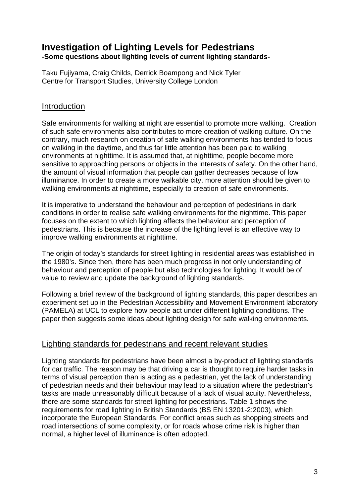## **Investigation of Lighting Levels for Pedestrians -Some questions about lighting levels of current lighting standards-**

Taku Fujiyama, Craig Childs, Derrick Boampong and Nick Tyler Centre for Transport Studies, University College London

## **Introduction**

Safe environments for walking at night are essential to promote more walking. Creation of such safe environments also contributes to more creation of walking culture. On the contrary, much research on creation of safe walking environments has tended to focus on walking in the daytime, and thus far little attention has been paid to walking environments at nighttime. It is assumed that, at nighttime, people become more sensitive to approaching persons or objects in the interests of safety. On the other hand, the amount of visual information that people can gather decreases because of low illuminance. In order to create a more walkable city, more attention should be given to walking environments at nighttime, especially to creation of safe environments.

It is imperative to understand the behaviour and perception of pedestrians in dark conditions in order to realise safe walking environments for the nighttime. This paper focuses on the extent to which lighting affects the behaviour and perception of pedestrians. This is because the increase of the lighting level is an effective way to improve walking environments at nighttime.

The origin of today's standards for street lighting in residential areas was established in the 1980's. Since then, there has been much progress in not only understanding of behaviour and perception of people but also technologies for lighting. It would be of value to review and update the background of lighting standards.

Following a brief review of the background of lighting standards, this paper describes an experiment set up in the Pedestrian Accessibility and Movement Environment laboratory (PAMELA) at UCL to explore how people act under different lighting conditions. The paper then suggests some ideas about lighting design for safe walking environments.

## Lighting standards for pedestrians and recent relevant studies

Lighting standards for pedestrians have been almost a by-product of lighting standards for car traffic. The reason may be that driving a car is thought to require harder tasks in terms of visual perception than is acting as a pedestrian, yet the lack of understanding of pedestrian needs and their behaviour may lead to a situation where the pedestrian's tasks are made unreasonably difficult because of a lack of visual acuity. Nevertheless, there are some standards for street lighting for pedestrians. Table 1 shows the requirements for road lighting in British Standards (BS EN 13201-2:2003), which incorporate the European Standards. For conflict areas such as shopping streets and road intersections of some complexity, or for roads whose crime risk is higher than normal, a higher level of illuminance is often adopted.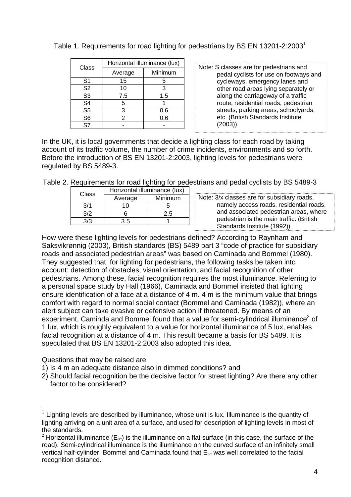| Class          | Horizontal illuminance (lux) |         |  |
|----------------|------------------------------|---------|--|
|                | Average                      | Minimum |  |
| S <sub>1</sub> | 15                           | 5       |  |
| S <sub>2</sub> | 10                           | 3       |  |
| S <sub>3</sub> | 7.5                          | 1.5     |  |
| S <sub>4</sub> | 5                            |         |  |
| S <sub>5</sub> | 3                            | 0.6     |  |
| S <sub>6</sub> | 2                            | 0.6     |  |
| S7             |                              |         |  |

Table 1. Requirements for road lighting for pedestrians by BS EN 13201-2:2003<sup>1</sup>

Note: S classes are for pedestrians and pedal cyclists for use on footways and cycleways, emergency lanes and other road areas lying separately or along the carriageway of a traffic route, residential roads, pedestrian streets, parking areas, schoolyards, etc. (British Standards Institute (2003))

In the UK, it is local governments that decide a lighting class for each road by taking account of its traffic volume, the number of crime incidents, environments and so forth. Before the introduction of BS EN 13201-2:2003, lighting levels for pedestrians were regulated by BS 5489-3.

Table 2. Requirements for road lighting for pedestrians and pedal cyclists by BS 5489-3

| Class | Horizontal illuminance (lux) |         |  |
|-------|------------------------------|---------|--|
|       | Average                      | Minimum |  |
| 3/1   |                              |         |  |
| 3/2   |                              | 2.5     |  |
| 3/2   | -5                           |         |  |

How were these lighting levels for pedestrians defined? According to Raynham and Saksvikrønnig (2003), British standards (BS) 5489 part 3 "code of practice for subsidiary roads and associated pedestrian areas" was based on Caminada and Bommel (1980). They suggested that, for lighting for pedestrians, the following tasks be taken into account: detection pf obstacles; visual orientation; and facial recognition of other pedestrians. Among these, facial recognition requires the most illuminance. Referring to a personal space study by Hall (1966), Caminada and Bommel insisted that lighting ensure identification of a face at a distance of 4 m. 4 m is the minimum value that brings comfort with regard to normal social contact (Bommel and Caminada (1982)), where an alert subject can take evasive or defensive action if threatened. By means of an experiment, Caminda and Bommel found that a value for semi-cylindrical illuminance<sup>2</sup> of 1 lux, which is roughly equivalent to a value for horizontal illuminance of 5 lux, enables facial recognition at a distance of 4 m. This result became a basis for BS 5489. It is speculated that BS EN 13201-2:2003 also adopted this idea.

Questions that may be raised are

 $\overline{a}$ 

1) Is 4 m an adequate distance also in dimmed conditions? and

2) Should facial recognition be the decisive factor for street lighting? Are there any other factor to be considered?

 $1$  Lighting levels are described by illuminance, whose unit is lux. Illuminance is the quantity of lighting arriving on a unit area of a surface, and used for description of lighting levels in most of the standards.

<sup>&</sup>lt;sup>2</sup> Horizontal illuminance ( $E_{sc}$ ) is the illuminance on a flat surface (in this case, the surface of the road). Semi-cylindrical illuminance is the illuminance on the curved surface of an infinitely small vertical half-cylinder. Bommel and Caminada found that  $E_{\rm sc}$  was well correlated to the facial recognition distance.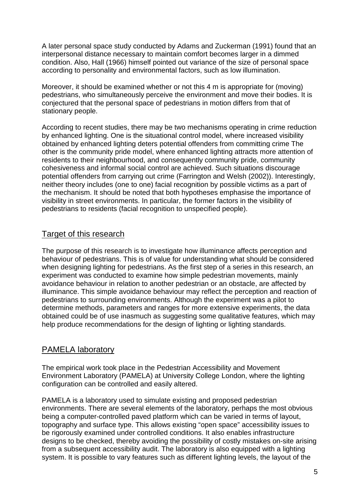A later personal space study conducted by Adams and Zuckerman (1991) found that an interpersonal distance necessary to maintain comfort becomes larger in a dimmed condition. Also, Hall (1966) himself pointed out variance of the size of personal space according to personality and environmental factors, such as low illumination.

Moreover, it should be examined whether or not this 4 m is appropriate for (moving) pedestrians, who simultaneously perceive the environment and move their bodies. It is conjectured that the personal space of pedestrians in motion differs from that of stationary people.

According to recent studies, there may be two mechanisms operating in crime reduction by enhanced lighting. One is the situational control model, where increased visibility obtained by enhanced lighting deters potential offenders from committing crime The other is the community pride model, where enhanced lighting attracts more attention of residents to their neighbourhood, and consequently community pride, community cohesiveness and informal social control are achieved. Such situations discourage potential offenders from carrying out crime (Farrington and Welsh (2002)). Interestingly, neither theory includes (one to one) facial recognition by possible victims as a part of the mechanism. It should be noted that both hypotheses emphasise the importance of visibility in street environments. In particular, the former factors in the visibility of pedestrians to residents (facial recognition to unspecified people).

## Target of this research

The purpose of this research is to investigate how illuminance affects perception and behaviour of pedestrians. This is of value for understanding what should be considered when designing lighting for pedestrians. As the first step of a series in this research, an experiment was conducted to examine how simple pedestrian movements, mainly avoidance behaviour in relation to another pedestrian or an obstacle, are affected by illuminance. This simple avoidance behaviour may reflect the perception and reaction of pedestrians to surrounding environments. Although the experiment was a pilot to determine methods, parameters and ranges for more extensive experiments, the data obtained could be of use inasmuch as suggesting some qualitative features, which may help produce recommendations for the design of lighting or lighting standards.

## PAMELA laboratory

The empirical work took place in the Pedestrian Accessibility and Movement Environment Laboratory (PAMELA) at University College London, where the lighting configuration can be controlled and easily altered.

PAMELA is a laboratory used to simulate existing and proposed pedestrian environments. There are several elements of the laboratory, perhaps the most obvious being a computer-controlled paved platform which can be varied in terms of layout, topography and surface type. This allows existing "open space" accessibility issues to be rigorously examined under controlled conditions. It also enables infrastructure designs to be checked, thereby avoiding the possibility of costly mistakes on-site arising from a subsequent accessibility audit. The laboratory is also equipped with a lighting system. It is possible to vary features such as different lighting levels, the layout of the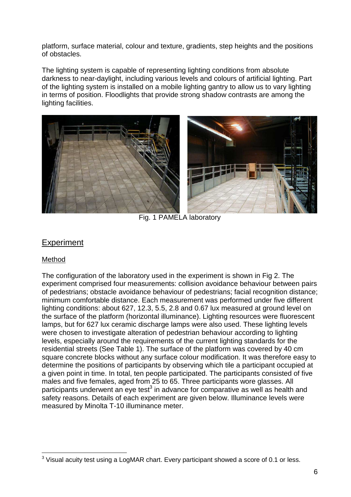platform, surface material, colour and texture, gradients, step heights and the positions of obstacles.

The lighting system is capable of representing lighting conditions from absolute darkness to near-daylight, including various levels and colours of artificial lighting. Part of the lighting system is installed on a mobile lighting gantry to allow us to vary lighting in terms of position. Floodlights that provide strong shadow contrasts are among the lighting facilities.



Fig. 1 PAMELA laboratory

## **Experiment**

#### Method

 $\overline{a}$ 

The configuration of the laboratory used in the experiment is shown in Fig 2. The experiment comprised four measurements: collision avoidance behaviour between pairs of pedestrians; obstacle avoidance behaviour of pedestrians; facial recognition distance; minimum comfortable distance. Each measurement was performed under five different lighting conditions: about 627, 12.3, 5.5, 2.8 and 0.67 lux measured at ground level on the surface of the platform (horizontal illuminance). Lighting resources were fluorescent lamps, but for 627 lux ceramic discharge lamps were also used. These lighting levels were chosen to investigate alteration of pedestrian behaviour according to lighting levels, especially around the requirements of the current lighting standards for the residential streets (See Table 1). The surface of the platform was covered by 40 cm square concrete blocks without any surface colour modification. It was therefore easy to determine the positions of participants by observing which tile a participant occupied at a given point in time. In total, ten people participated. The participants consisted of five males and five females, aged from 25 to 65. Three participants wore glasses. All participants underwent an eye test $3$  in advance for comparative as well as health and safety reasons. Details of each experiment are given below. Illuminance levels were measured by Minolta T-10 illuminance meter.

 $3$  Visual acuity test using a LogMAR chart. Every participant showed a score of 0.1 or less.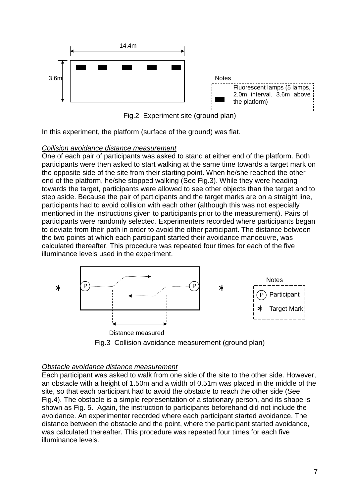



In this experiment, the platform (surface of the ground) was flat.

#### Collision avoidance distance measurement

One of each pair of participants was asked to stand at either end of the platform. Both participants were then asked to start walking at the same time towards a target mark on the opposite side of the site from their starting point. When he/she reached the other end of the platform, he/she stopped walking (See Fig.3). While they were heading towards the target, participants were allowed to see other objects than the target and to step aside. Because the pair of participants and the target marks are on a straight line, participants had to avoid collision with each other (although this was not especially mentioned in the instructions given to participants prior to the measurement). Pairs of participants were randomly selected. Experimenters recorded where participants began to deviate from their path in order to avoid the other participant. The distance between the two points at which each participant started their avoidance manoeuvre, was calculated thereafter. This procedure was repeated four times for each of the five illuminance levels used in the experiment.



#### Obstacle avoidance distance measurement

Each participant was asked to walk from one side of the site to the other side. However, an obstacle with a height of 1.50m and a width of 0.51m was placed in the middle of the site, so that each participant had to avoid the obstacle to reach the other side (See Fig.4). The obstacle is a simple representation of a stationary person, and its shape is shown as Fig. 5. Again, the instruction to participants beforehand did not include the avoidance. An experimenter recorded where each participant started avoidance. The distance between the obstacle and the point, where the participant started avoidance, was calculated thereafter. This procedure was repeated four times for each five illuminance levels.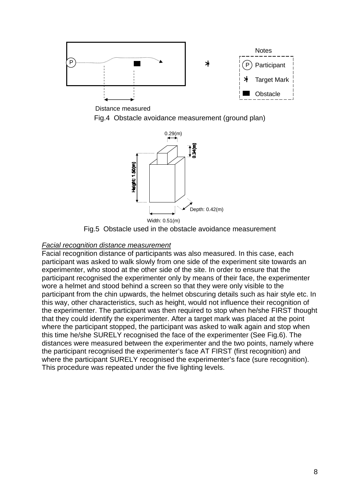

Distance measured

Fig.4 Obstacle avoidance measurement (ground plan)



Fig.5 Obstacle used in the obstacle avoidance measurement

### Facial recognition distance measurement

Facial recognition distance of participants was also measured. In this case, each participant was asked to walk slowly from one side of the experiment site towards an experimenter, who stood at the other side of the site. In order to ensure that the participant recognised the experimenter only by means of their face, the experimenter wore a helmet and stood behind a screen so that they were only visible to the participant from the chin upwards, the helmet obscuring details such as hair style etc. In this way, other characteristics, such as height, would not influence their recognition of the experimenter. The participant was then required to stop when he/she FIRST thought that they could identify the experimenter. After a target mark was placed at the point where the participant stopped, the participant was asked to walk again and stop when this time he/she SURELY recognised the face of the experimenter (See Fig.6). The distances were measured between the experimenter and the two points, namely where the participant recognised the experimenter's face AT FIRST (first recognition) and where the participant SURELY recognised the experimenter's face (sure recognition). This procedure was repeated under the five lighting levels.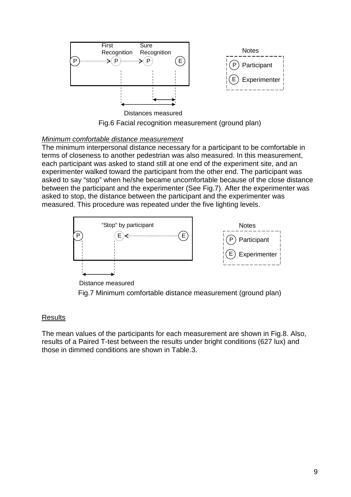

Fig.6 Facial recognition measurement (ground plan)

#### Minimum comfortable distance measurement

The minimum interpersonal distance necessary for a participant to be comfortable in terms of closeness to another pedestrian was also measured. In this measurement, each participant was asked to stand still at one end of the experiment site, and an experimenter walked toward the participant from the other end. The participant was asked to say "stop" when he/she became uncomfortable because of the close distance between the participant and the experimenter (See Fig.7). After the experimenter was asked to stop, the distance between the participant and the experimenter was measured. This procedure was repeated under the five lighting levels.



Distance measured

Fig.7 Minimum comfortable distance measurement (ground plan)

#### **Results**

The mean values of the participants for each measurement are shown in Fig.8. Also, results of a Paired T-test between the results under bright conditions (627 lux) and those in dimmed conditions are shown in Table.3.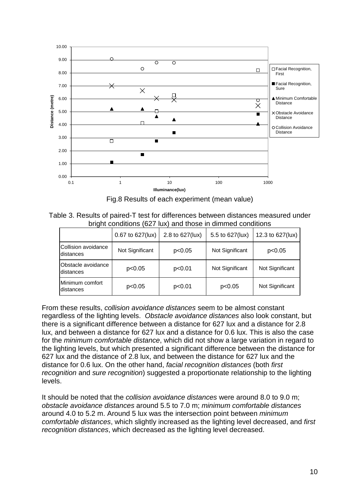

Fig.8 Results of each experiment (mean value)

Table 3. Results of paired-T test for differences between distances measured under bright conditions (627 lux) and those in dimmed conditions

|                                  | 0.67 to 627(lux) | 2.8 to 627(lux) | 5.5 to 627(lux) | 12.3 to 627(lux) |
|----------------------------------|------------------|-----------------|-----------------|------------------|
| Collision avoidance<br>distances | Not Significant  | p<0.05          | Not Significant | p<0.05           |
| Obstacle avoidance<br>distances  | p<0.05           | p<0.01          | Not Significant | Not Significant  |
| Minimum comfort<br>distances     | p<0.05           | p<0.01          | p<0.05          | Not Significant  |

From these results, collision avoidance distances seem to be almost constant regardless of the lighting levels. Obstacle avoidance distances also look constant, but there is a significant difference between a distance for 627 lux and a distance for 2.8 lux, and between a distance for 627 lux and a distance for 0.6 lux. This is also the case for the minimum comfortable distance, which did not show a large variation in regard to the lighting levels, but which presented a significant difference between the distance for 627 lux and the distance of 2.8 lux, and between the distance for 627 lux and the distance for 0.6 lux. On the other hand, facial recognition distances (both first recognition and sure recognition) suggested a proportionate relationship to the lighting levels.

It should be noted that the *collision avoidance distances* were around 8.0 to 9.0 m; obstacle avoidance distances around 5.5 to 7.0 m; minimum comfortable distances around 4.0 to 5.2 m. Around 5 lux was the intersection point between minimum comfortable distances, which slightly increased as the lighting level decreased, and first recognition distances, which decreased as the lighting level decreased.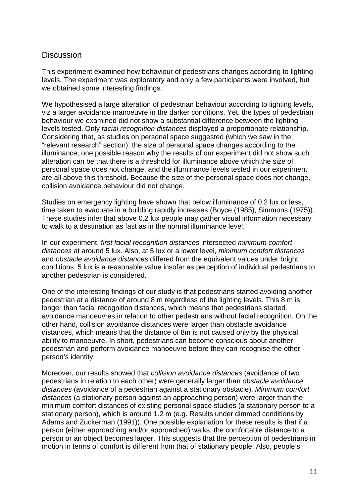## **Discussion**

This experiment examined how behaviour of pedestrians changes according to lighting levels. The experiment was exploratory and only a few participants were involved, but we obtained some interesting findings.

We hypothesised a large alteration of pedestrian behaviour according to lighting levels, viz a larger avoidance manoeuvre in the darker conditions. Yet, the types of pedestrian behaviour we examined did not show a substantial difference between the lighting levels tested. Only facial recognition distances displayed a proportionate relationship. Considering that, as studies on personal space suggested (which we saw in the "relevant research" section), the size of personal space changes according to the illuminance, one possible reason why the results of our experiment did not show such alteration can be that there is a threshold for illuminance above which the size of personal space does not change, and the illuminance levels tested in our experiment are all above this threshold. Because the size of the personal space does not change, collision avoidance behaviour did not change.

Studies on emergency lighting have shown that below illuminance of 0.2 lux or less, time taken to evacuate in a building rapidly increases (Boyce (1985), Simmons (1975)). These studies infer that above 0.2 lux people may gather visual information necessary to walk to a destination as fast as in the normal illuminance level.

In our experiment, first facial recognition distances intersected minimum comfort distances at around 5 lux. Also, at 5 lux or a lower level, minimum comfort distances and obstacle avoidance distances differed from the equivalent values under bright conditions. 5 lux is a reasonable value insofar as perception of individual pedestrians to another pedestrian is considered.

One of the interesting findings of our study is that pedestrians started avoiding another pedestrian at a distance of around 8 m regardless of the lighting levels. This 8 m is longer than facial recognition distances, which means that pedestrians started avoidance manoeuvres in relation to other pedestrians without facial recognition. On the other hand, collision avoidance distances were larger than obstacle avoidance distances, which means that the distance of 8m is not caused only by the physical ability to manoeuvre. In short, pedestrians can become conscious about another pedestrian and perform avoidance manoeuvre before they can recognise the other person's identity.

Moreover, our results showed that collision avoidance distances (avoidance of two pedestrians in relation to each other) were generally larger than obstacle avoidance distances (avoidance of a pedestrian against a stationary obstacle). Minimum comfort distances (a stationary person against an approaching person) were larger than the minimum comfort distances of existing personal space studies (a stationary person to a stationary person), which is around 1.2 m (e.g. Results under dimmed conditions by Adams and Zuckerman (1991)). One possible explanation for these results is that if a person (either approaching and/or approached) walks, the comfortable distance to a person or an object becomes larger. This suggests that the perception of pedestrians in motion in terms of comfort is different from that of stationary people. Also, people's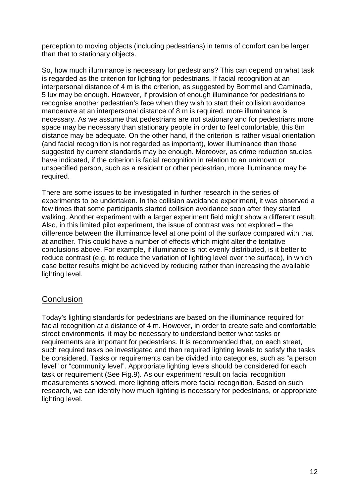perception to moving objects (including pedestrians) in terms of comfort can be larger than that to stationary objects.

So, how much illuminance is necessary for pedestrians? This can depend on what task is regarded as the criterion for lighting for pedestrians. If facial recognition at an interpersonal distance of 4 m is the criterion, as suggested by Bommel and Caminada, 5 lux may be enough. However, if provision of enough illuminance for pedestrians to recognise another pedestrian's face when they wish to start their collision avoidance manoeuvre at an interpersonal distance of 8 m is required, more illuminance is necessary. As we assume that pedestrians are not stationary and for pedestrians more space may be necessary than stationary people in order to feel comfortable, this 8m distance may be adequate. On the other hand, if the criterion is rather visual orientation (and facial recognition is not regarded as important), lower illuminance than those suggested by current standards may be enough. Moreover, as crime reduction studies have indicated, if the criterion is facial recognition in relation to an unknown or unspecified person, such as a resident or other pedestrian, more illuminance may be required.

There are some issues to be investigated in further research in the series of experiments to be undertaken. In the collision avoidance experiment, it was observed a few times that some participants started collision avoidance soon after they started walking. Another experiment with a larger experiment field might show a different result. Also, in this limited pilot experiment, the issue of contrast was not explored – the difference between the illuminance level at one point of the surface compared with that at another. This could have a number of effects which might alter the tentative conclusions above. For example, if illuminance is not evenly distributed, is it better to reduce contrast (e.g. to reduce the variation of lighting level over the surface), in which case better results might be achieved by reducing rather than increasing the available lighting level.

## **Conclusion**

Today's lighting standards for pedestrians are based on the illuminance required for facial recognition at a distance of 4 m. However, in order to create safe and comfortable street environments, it may be necessary to understand better what tasks or requirements are important for pedestrians. It is recommended that, on each street, such required tasks be investigated and then required lighting levels to satisfy the tasks be considered. Tasks or requirements can be divided into categories, such as "a person level" or "community level". Appropriate lighting levels should be considered for each task or requirement (See Fig.9). As our experiment result on facial recognition measurements showed, more lighting offers more facial recognition. Based on such research, we can identify how much lighting is necessary for pedestrians, or appropriate lighting level.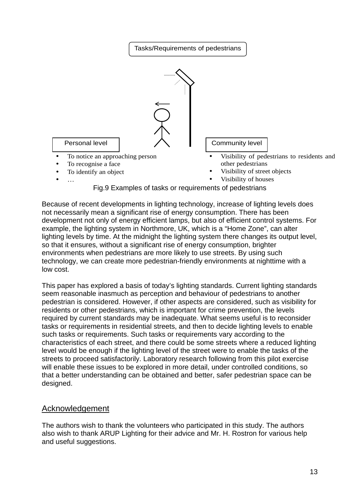

Because of recent developments in lighting technology, increase of lighting levels does not necessarily mean a significant rise of energy consumption. There has been development not only of energy efficient lamps, but also of efficient control systems. For example, the lighting system in Northmore, UK, which is a "Home Zone", can alter lighting levels by time. At the midnight the lighting system there changes its output level, so that it ensures, without a significant rise of energy consumption, brighter environments when pedestrians are more likely to use streets. By using such technology, we can create more pedestrian-friendly environments at nighttime with a low cost.

This paper has explored a basis of today's lighting standards. Current lighting standards seem reasonable inasmuch as perception and behaviour of pedestrians to another pedestrian is considered. However, if other aspects are considered, such as visibility for residents or other pedestrians, which is important for crime prevention, the levels required by current standards may be inadequate. What seems useful is to reconsider tasks or requirements in residential streets, and then to decide lighting levels to enable such tasks or requirements. Such tasks or requirements vary according to the characteristics of each street, and there could be some streets where a reduced lighting level would be enough if the lighting level of the street were to enable the tasks of the streets to proceed satisfactorily. Laboratory research following from this pilot exercise will enable these issues to be explored in more detail, under controlled conditions, so that a better understanding can be obtained and better, safer pedestrian space can be designed.

## Acknowledgement

The authors wish to thank the volunteers who participated in this study. The authors also wish to thank ARUP Lighting for their advice and Mr. H. Rostron for various help and useful suggestions.